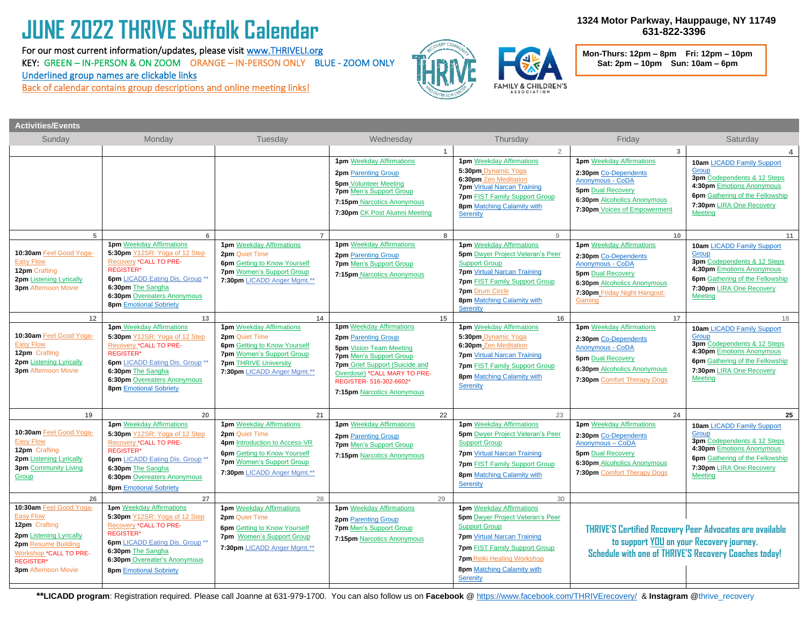# **JUNE 2022 THRIVE Suffolk Calendar**

For our most current information/updates, please visi[t www.THRIVELI.org](http://www.thriveli.org/) KEY: GREEN – IN-PERSON & ON ZOOM ORANGE – IN-PERSON ONLY BLUE - ZOOM ONLY Underlined group names are clickable links

**EXECUTE SECRY METALLIC CONTROLS IN A CONTROL CONTROLS AND SECRY CONTROLS BACK Of Calendar contains group descriptions and online meeting links!** 



 **1324 Motor Parkway, Hauppauge, NY 11749 631-822-3396**

 **Mon-Thurs: 12pm – 8pm Fri: 12pm – 10pm Sat: 2pm – 10pm Sun: 10am – 6pm**

| <b>Activities/Events</b>                                                                                                                                                                   |                                                                                                                                                                                                                                                      |                                                                                                                                                                                              |                                                                                                                                                                                                                                                              |                |                                                                                                                                                                                                                                                                 |                                                                                                                                                                                  |                                                                                                                                                                                                       |
|--------------------------------------------------------------------------------------------------------------------------------------------------------------------------------------------|------------------------------------------------------------------------------------------------------------------------------------------------------------------------------------------------------------------------------------------------------|----------------------------------------------------------------------------------------------------------------------------------------------------------------------------------------------|--------------------------------------------------------------------------------------------------------------------------------------------------------------------------------------------------------------------------------------------------------------|----------------|-----------------------------------------------------------------------------------------------------------------------------------------------------------------------------------------------------------------------------------------------------------------|----------------------------------------------------------------------------------------------------------------------------------------------------------------------------------|-------------------------------------------------------------------------------------------------------------------------------------------------------------------------------------------------------|
| Sunday                                                                                                                                                                                     | Monday                                                                                                                                                                                                                                               | Tuesday                                                                                                                                                                                      | Wednesday                                                                                                                                                                                                                                                    |                | Thursday                                                                                                                                                                                                                                                        | Friday                                                                                                                                                                           | Saturday                                                                                                                                                                                              |
|                                                                                                                                                                                            |                                                                                                                                                                                                                                                      |                                                                                                                                                                                              |                                                                                                                                                                                                                                                              | $\overline{1}$ | $\overline{2}$                                                                                                                                                                                                                                                  | $\overline{3}$                                                                                                                                                                   |                                                                                                                                                                                                       |
|                                                                                                                                                                                            |                                                                                                                                                                                                                                                      |                                                                                                                                                                                              | <b>1pm</b> Weekday Affirmations<br>2pm Parenting Group<br><b>5pm</b> Volunteer Meeting<br><b>7pm Men's Support Group</b><br>7:15pm Narcotics Anonymous<br>7:30pm CK Post Alumni Meeting                                                                      |                | <b>1pm</b> Weekday Affirmations<br>5:30pm Dynamic Yoga<br>6:30pm Zen Meditation<br><b>7pm</b> Virtual Narcan Training<br><b>7pm FIST Family Support Group</b><br>8pm Matching Calamity with<br>Serenity                                                         | <b>1pm</b> Weekday Affirmations<br>2:30pm Co-Dependents<br>Anonymous - CoDA<br><b>5pm</b> Dual Recovery<br>6:30pm_Alcoholics Anonymous<br>7:30pm Voices of Empowerment           | <b>10am LICADD Family Support</b><br>Group<br>3pm Codependents & 12 Steps<br>4:30pm Emotions Anonymous<br>6pm Gathering of the Fellowship<br>7:30pm LIRA One Recovery<br><b>Meeting</b>               |
| 5 <sup>5</sup>                                                                                                                                                                             | $6\phantom{1}$                                                                                                                                                                                                                                       | $\overline{7}$                                                                                                                                                                               |                                                                                                                                                                                                                                                              | 8              | 9                                                                                                                                                                                                                                                               | 10 <sup>1</sup>                                                                                                                                                                  | 11                                                                                                                                                                                                    |
| 10:30am Feel Good Yoga-<br><b>Easy Flow</b><br>12pm Crafting<br>2pm Listening Lyrically<br><b>3pm</b> Afternoon Movie                                                                      | <b>1pm</b> Weekday Affirmations<br>5:30pm Y12SR: Yoga of 12 Step<br>Recovery *CALL TO PRE-<br><b>REGISTER*</b><br><b>6pm</b> LICADD Eating Dis. Group **<br>6:30pm The Sangha<br><b>6:30pm Overeaters Anonymous</b><br><b>8pm</b> Emotional Sobriety | <b>1pm</b> Weekday Affirmations<br>2pm Quiet Time<br><b>6pm</b> Getting to Know Yourself<br><b>7pm</b> Women's Support Group<br>7:30pm LICADD Anger Mgmt.**                                  | <b>1pm</b> Weekday Affirmations<br>2pm Parenting Group<br><b>7pm Men's Support Group</b><br>7:15pm Narcotics Anonymous                                                                                                                                       |                | <b>1pm</b> Weekday Affirmations<br><b>5pm</b> Dwyer Project Veteran's Peer<br><b>Support Group</b><br><b>7pm</b> Virtual Narcan Training<br><b>7pm FIST Family Support Group</b><br><b>7pm Drum Circle</b><br>8pm Matching Calamity with<br>Serenity            | <b>1pm</b> Weekday Affirmations<br>2:30pm Co-Dependents<br>Anonymous - CoDA<br><b>5pm</b> Dual Recovery<br>6:30pm Alcoholics Anonymous<br>7:30pm Friday Night Hangout:<br>Gaming | <b>10am LICADD Family Support</b><br>Group<br>3pm Codependents & 12 Steps<br>4:30pm Emotions Anonymous<br><b>6pm</b> Gathering of the Fellowship<br>7:30pm LIRA One Recovery<br><b>Meeting</b>        |
| 12                                                                                                                                                                                         | 13                                                                                                                                                                                                                                                   | 14                                                                                                                                                                                           |                                                                                                                                                                                                                                                              | 15             | 16                                                                                                                                                                                                                                                              | 17                                                                                                                                                                               | 18                                                                                                                                                                                                    |
| 10:30am Feel Good Yoga-<br><b>Easy Flow</b><br>12pm Crafting<br><b>2pm Listening Lyrically</b><br><b>3pm</b> Afternoon Movie                                                               | <b>1pm</b> Weekday Affirmations<br>5:30pm Y12SR: Yoga of 12 Step<br>Recovery *CALL TO PRE-<br><b>REGISTER*</b><br>6pm LICADD Eating Dis. Group **<br>6:30pm The Sangha<br><b>6:30pm Overeaters Anonymous</b><br><b>8pm</b> Emotional Sobriety        | <b>1pm</b> Weekday Affirmations<br>2pm Quiet Time<br><b>6pm</b> Getting to Know Yourself<br><b>7pm</b> Women's Support Group<br><b>7pm THRIVE University</b><br>7:30pm LICADD Anger Mgmt.**  | <b>1pm</b> Weekday Affirmations<br><b>2pm</b> Parenting Group<br><b>5pm</b> Vision Team Meeting<br><b>7pm</b> Men's Support Group<br>7pm Grief Support (Suicide and<br>Overdose) *CALL MARY TO PRE-<br>REGISTER- 516-302-6602*<br>7:15pm Narcotics Anonymous |                | <b>1pm</b> Weekday Affirmations<br>5:30pm Dynamic Yoga<br>6:30pm Zen Meditation<br><b>7pm</b> Virtual Narcan Training<br><b>7pm FIST Family Support Group</b><br>8pm Matching Calamity with<br>Serenity                                                         | <b>1pm</b> Weekday Affirmations<br>2:30pm Co-Dependents<br><b>Anonymous - CoDA</b><br><b>5pm</b> Dual Recovery<br>6:30pm Alcoholics Anonymous<br>7:30pm Comfort Therapy Dogs     | <b>10am LICADD Family Support</b><br>Group<br><b>3pm</b> Codependents & 12 Steps<br>4:30pm Emotions Anonymous<br><b>6pm</b> Gathering of the Fellowship<br>7:30pm LIRA One Recovery<br><b>Meeting</b> |
| 19                                                                                                                                                                                         | 20                                                                                                                                                                                                                                                   | 21                                                                                                                                                                                           |                                                                                                                                                                                                                                                              | 22             | 23                                                                                                                                                                                                                                                              | 24                                                                                                                                                                               | 25                                                                                                                                                                                                    |
| 10:30am Feel Good Yoga-<br><b>Easy Flow</b><br>12pm Crafting<br>2pm Listening Lyrically<br><b>3pm</b> Community Living<br>Group                                                            | <b>1pm</b> Weekday Affirmations<br>5:30pm Y12SR: Yoga of 12 Step<br>Recovery *CALL TO PRE-<br><b>REGISTER*</b><br>6pm LICADD Eating Dis. Group **<br>6:30pm The Sangha<br><b>6:30pm Overeaters Anonymous</b><br><b>8pm Emotional Sobriety</b>        | <b>1pm</b> Weekday Affirmations<br>2pm Quiet Time<br>4pm Introduction to Access-VR<br><b>6pm</b> Getting to Know Yourself<br><b>7pm</b> Women's Support Group<br>7:30pm LICADD Anger Mgmt.** | <b>1pm</b> Weekday Affirmations<br><b>2pm</b> Parenting Group<br><b>7pm</b> Men's Support Group<br>7:15pm Narcotics Anonymous                                                                                                                                |                | <b>1pm</b> Weekday Affirmations<br><b>5pm</b> Dwyer Project Veteran's Peer<br><b>Support Group</b><br><b>7pm</b> Virtual Narcan Training<br><b>7pm FIST Family Support Group</b><br>8pm Matching Calamity with<br>Serenity                                      | <b>1pm</b> Weekday Affirmations<br>2:30pm Co-Dependents<br>Anonymous - CoDA<br><b>5pm</b> Dual Recovery<br><b>6:30pm</b> Alcoholics Anonymous<br>7:30pm Comfort Therapy Dogs     | <b>10am LICADD Family Support</b><br>Group<br><b>3pm</b> Codependents & 12 Steps<br>4:30pm Emotions Anonymous<br><b>6pm</b> Gathering of the Fellowship<br>7:30pm LIRA One Recovery<br><b>Meeting</b> |
| 26                                                                                                                                                                                         | 27                                                                                                                                                                                                                                                   | 28                                                                                                                                                                                           |                                                                                                                                                                                                                                                              | 29             | 30                                                                                                                                                                                                                                                              |                                                                                                                                                                                  |                                                                                                                                                                                                       |
| 10:30am Feel Good Yoga-<br><b>Easy Flow</b><br>12pm Crafting<br>2pm Listening Lyrically<br>2pm Resume Building<br>Workshop *CALL TO PRE-<br><b>REGISTER*</b><br><b>3pm</b> Afternoon Movie | <b>1pm</b> Weekday Affirmations<br>5:30pm Y12SR: Yoga of 12 Step<br><b>Recovery *CALL TO PRE-</b><br><b>REGISTER*</b><br>6pm LICADD Eating Dis. Group **<br>6:30pm The Sangha<br>6:30pm Overeater's Anonymous<br><b>8pm</b> Emotional Sobriety       | <b>1pm</b> Weekday Affirmations<br>2pm Quiet Time<br><b>6pm</b> Getting to Know Yourself<br>7pm Women's Support Group<br>7:30pm LICADD Anger Mgmt.**                                         | <b>1pm</b> Weekday Affirmations<br><b>2pm</b> Parenting Group<br><b>7pm Men's Support Group</b><br>7:15pm Narcotics Anonymous                                                                                                                                |                | <b>1pm</b> Weekday Affirmations<br><b>5pm</b> Dwyer Project Veteran's Peer<br><b>Support Group</b><br><b>7pm</b> Virtual Narcan Training<br><b>7pm FIST Family Support Group</b><br><b>7pm</b> Reiki Healing Workshop<br>8pm Matching Calamity with<br>Serenity | to support YOU on your Recovery journey.<br>Schedule with one of THRIVE'S Recovery Coaches today!                                                                                | <b>THRIVE'S Certified Recovery Peer Advocates are available</b>                                                                                                                                       |

**\*\*LICADD program**: Registration required. Please call Joanne at 631-979-1700. You can also follow us on **Facebook** [@ https://www.facebook.com/THRIVErecovery/](https://www.facebook.com/THRIVErecovery/) & **Instagram** @thrive\_recovery